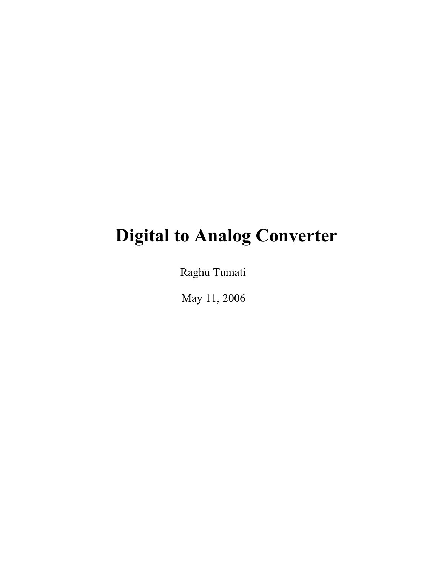# Digital to Analog Converter

Raghu Tumati

May 11, 2006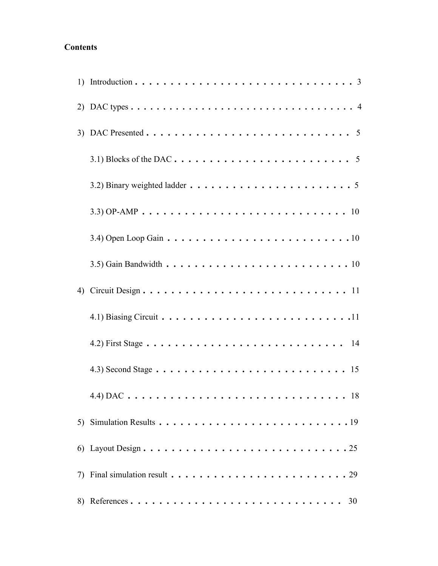### **Contents**

|    | 3.5) Gain Bandwidth $\ldots \ldots \ldots \ldots \ldots \ldots \ldots \ldots \ldots \ldots 10$                      |
|----|---------------------------------------------------------------------------------------------------------------------|
|    |                                                                                                                     |
|    |                                                                                                                     |
|    |                                                                                                                     |
|    | 4.3) Second Stage $\dots \dots \dots \dots \dots \dots \dots \dots \dots \dots \dots \dots \dots \dots \dots \dots$ |
|    |                                                                                                                     |
|    |                                                                                                                     |
|    |                                                                                                                     |
| 7) |                                                                                                                     |
|    |                                                                                                                     |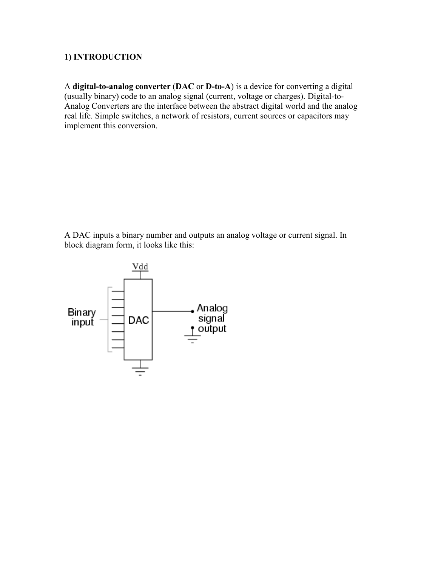### 1) INTRODUCTION

A digital-to-analog converter (DAC or D-to-A) is a device for converting a digital (usually binary) code to an analog signal (current, voltage or charges). Digital-to-Analog Converters are the interface between the abstract digital world and the analog real life. Simple switches, a network of resistors, current sources or capacitors may implement this conversion.

A DAC inputs a binary number and outputs an analog voltage or current signal. In block diagram form, it looks like this:

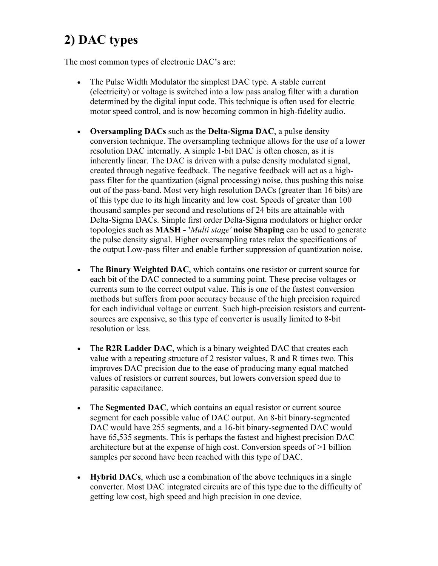# 2) DAC types

The most common types of electronic DAC's are:

- The Pulse Width Modulator the simplest DAC type. A stable current (electricity) or voltage is switched into a low pass analog filter with a duration determined by the digital input code. This technique is often used for electric motor speed control, and is now becoming common in high-fidelity audio.
- Oversampling DACs such as the Delta-Sigma DAC, a pulse density conversion technique. The oversampling technique allows for the use of a lower resolution DAC internally. A simple 1-bit DAC is often chosen, as it is inherently linear. The DAC is driven with a pulse density modulated signal, created through negative feedback. The negative feedback will act as a highpass filter for the quantization (signal processing) noise, thus pushing this noise out of the pass-band. Most very high resolution DACs (greater than 16 bits) are of this type due to its high linearity and low cost. Speeds of greater than 100 thousand samples per second and resolutions of 24 bits are attainable with Delta-Sigma DACs. Simple first order Delta-Sigma modulators or higher order topologies such as MASH - '*Multi stage'* noise Shaping can be used to generate the pulse density signal. Higher oversampling rates relax the specifications of the output Low-pass filter and enable further suppression of quantization noise.
- The Binary Weighted DAC, which contains one resistor or current source for each bit of the DAC connected to a summing point. These precise voltages or currents sum to the correct output value. This is one of the fastest conversion methods but suffers from poor accuracy because of the high precision required for each individual voltage or current. Such high-precision resistors and currentsources are expensive, so this type of converter is usually limited to 8-bit resolution or less.
- The R2R Ladder DAC, which is a binary weighted DAC that creates each value with a repeating structure of 2 resistor values, R and R times two. This improves DAC precision due to the ease of producing many equal matched values of resistors or current sources, but lowers conversion speed due to parasitic capacitance.
- The **Segmented DAC**, which contains an equal resistor or current source segment for each possible value of DAC output. An 8-bit binary-segmented DAC would have 255 segments, and a 16-bit binary-segmented DAC would have 65,535 segments. This is perhaps the fastest and highest precision DAC architecture but at the expense of high cost. Conversion speeds of >1 billion samples per second have been reached with this type of DAC.
- Hybrid DACs, which use a combination of the above techniques in a single converter. Most DAC integrated circuits are of this type due to the difficulty of getting low cost, high speed and high precision in one device.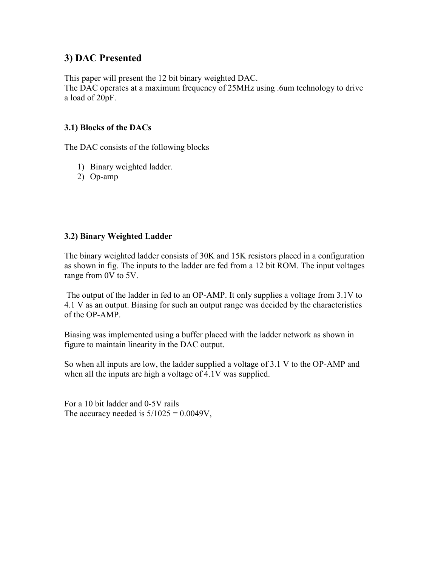### 3) DAC Presented

This paper will present the 12 bit binary weighted DAC. The DAC operates at a maximum frequency of 25MHz using .6um technology to drive a load of 20pF.

### 3.1) Blocks of the DACs

The DAC consists of the following blocks

- 1) Binary weighted ladder.
- 2) Op-amp

### 3.2) Binary Weighted Ladder

The binary weighted ladder consists of 30K and 15K resistors placed in a configuration as shown in fig. The inputs to the ladder are fed from a 12 bit ROM. The input voltages range from 0V to 5V.

 The output of the ladder in fed to an OP-AMP. It only supplies a voltage from 3.1V to 4.1 V as an output. Biasing for such an output range was decided by the characteristics of the OP-AMP.

Biasing was implemented using a buffer placed with the ladder network as shown in figure to maintain linearity in the DAC output.

So when all inputs are low, the ladder supplied a voltage of 3.1 V to the OP-AMP and when all the inputs are high a voltage of 4.1V was supplied.

For a 10 bit ladder and 0-5V rails The accuracy needed is  $5/1025 = 0.0049V$ ,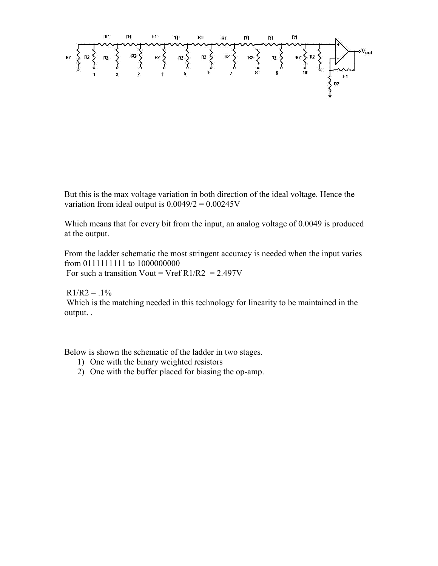

But this is the max voltage variation in both direction of the ideal voltage. Hence the variation from ideal output is  $0.0049/2 = 0.00245V$ 

Which means that for every bit from the input, an analog voltage of 0.0049 is produced at the output.

From the ladder schematic the most stringent accuracy is needed when the input varies from 0111111111 to 1000000000 For such a transition Vout = Vref R $1/R2$  = 2.497V

 $R1/R2 = .1\%$ 

 Which is the matching needed in this technology for linearity to be maintained in the output. .

Below is shown the schematic of the ladder in two stages.

- 1) One with the binary weighted resistors
- 2) One with the buffer placed for biasing the op-amp.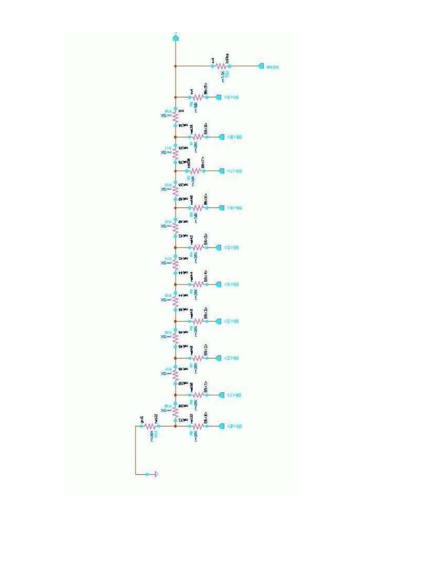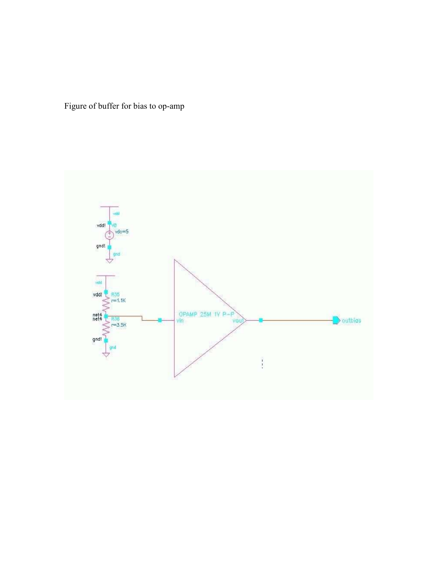Figure of buffer for bias to op-amp

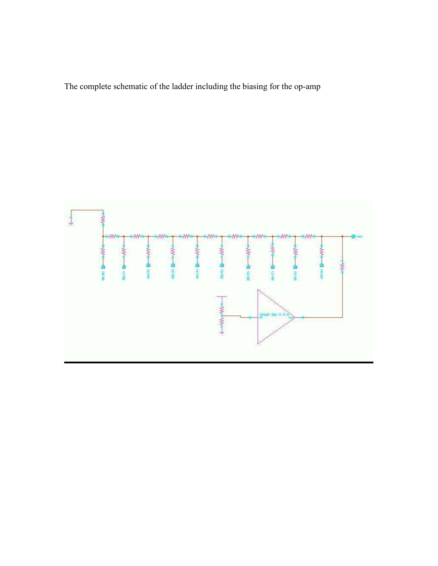The complete schematic of the ladder including the biasing for the op-amp

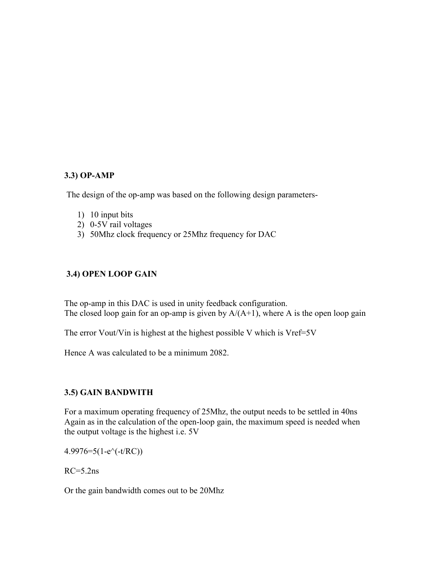#### 3.3) OP-AMP

The design of the op-amp was based on the following design parameters-

- 1) 10 input bits
- 2) 0-5V rail voltages
- 3) 50Mhz clock frequency or 25Mhz frequency for DAC

#### 3.4) OPEN LOOP GAIN

The op-amp in this DAC is used in unity feedback configuration. The closed loop gain for an op-amp is given by  $A/(A+1)$ , where A is the open loop gain

The error Vout/Vin is highest at the highest possible V which is Vref=5V

Hence A was calculated to be a minimum 2082.

#### 3.5) GAIN BANDWITH

For a maximum operating frequency of 25Mhz, the output needs to be settled in 40ns Again as in the calculation of the open-loop gain, the maximum speed is needed when the output voltage is the highest i.e. 5V

4.9976=5(1-e^(-t/RC))

 $RC=5.2ns$ 

Or the gain bandwidth comes out to be 20Mhz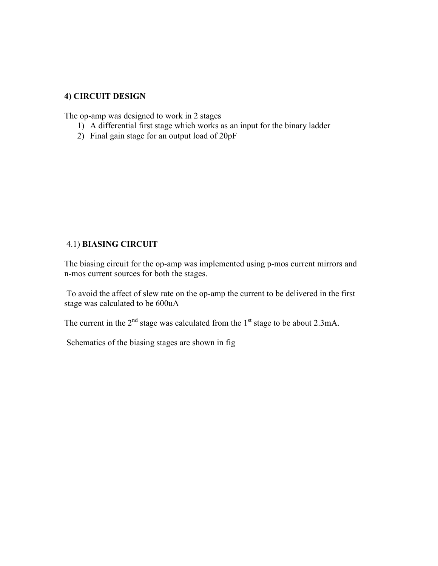### 4) CIRCUIT DESIGN

The op-amp was designed to work in 2 stages

- 1) A differential first stage which works as an input for the binary ladder
- 2) Final gain stage for an output load of 20pF

#### 4.1) BIASING CIRCUIT

The biasing circuit for the op-amp was implemented using p-mos current mirrors and n-mos current sources for both the stages.

 To avoid the affect of slew rate on the op-amp the current to be delivered in the first stage was calculated to be 600uA

The current in the  $2<sup>nd</sup>$  stage was calculated from the  $1<sup>st</sup>$  stage to be about 2.3mA.

Schematics of the biasing stages are shown in fig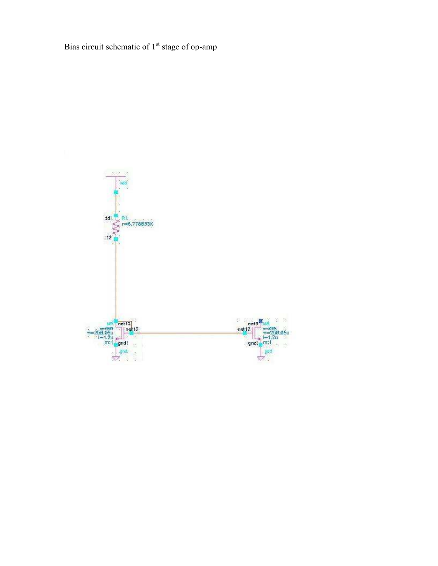## Bias circuit schematic of 1<sup>st</sup> stage of op-amp

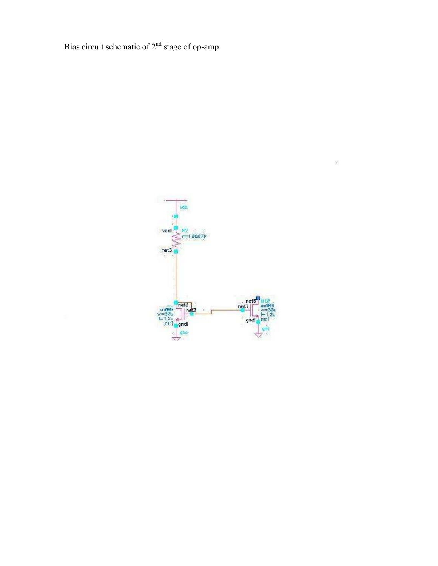# Bias circuit schematic of  $2<sup>nd</sup>$  stage of op-amp



 $\mathcal{S}^{\mathcal{G}}_{\mathcal{G}}$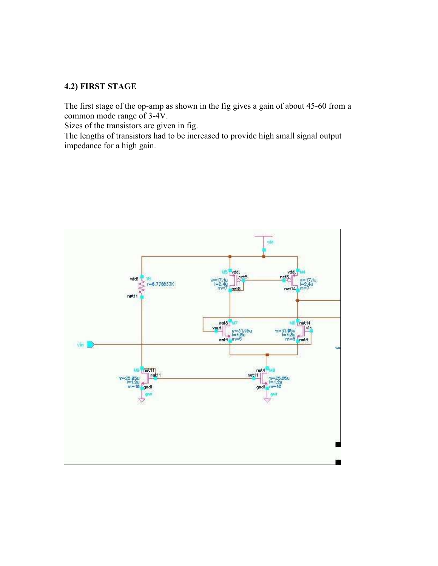### 4.2) FIRST STAGE

The first stage of the op-amp as shown in the fig gives a gain of about 45-60 from a common mode range of 3-4V.

Sizes of the transistors are given in fig.

The lengths of transistors had to be increased to provide high small signal output impedance for a high gain.

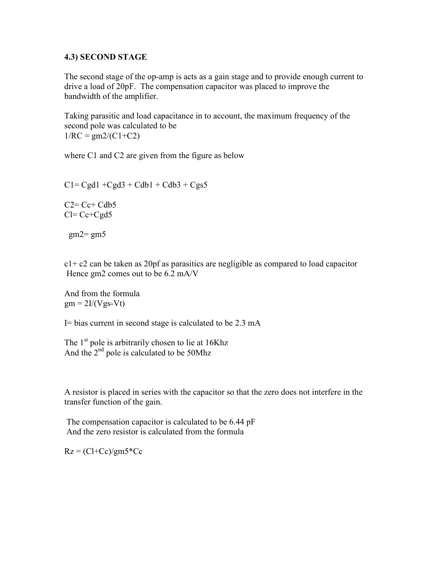#### 4.3) SECOND STAGE

The second stage of the op-amp is acts as a gain stage and to provide enough current to drive a load of 20pF. The compensation capacitor was placed to improve the bandwidth of the amplifier.

Taking parasitic and load capacitance in to account, the maximum frequency of the second pole was calculated to be  $1/RC = gm2/(C1+C2)$ 

where C1 and C2 are given from the figure as below

 $C1 = Cgd1 + Cgd3 + Cdb1 + Cdb3 + Cgs5$ 

 $C2 = Cc + Cdb5$  $Cl = Cc + Cgd5$ 

 $gm2 = gm5$ 

 $c1 + c2$  can be taken as 20pf as parasitics are negligible as compared to load capacitor Hence gm2 comes out to be 6.2 mA/V

And from the formula  $gm = 2I/(Vgs-Vt)$ 

I= bias current in second stage is calculated to be 2.3 mA

The  $1<sup>st</sup>$  pole is arbitrarily chosen to lie at  $16Khz$ And the  $2<sup>nd</sup>$  pole is calculated to be 50Mhz

A resistor is placed in series with the capacitor so that the zero does not interfere in the transfer function of the gain.

 The compensation capacitor is calculated to be 6.44 pF And the zero resistor is calculated from the formula

 $Rz = (Cl + Cc)/gm5*Cc$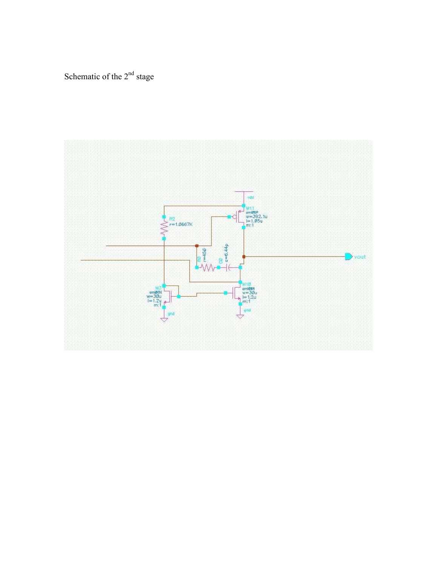# Schematic of the  $2<sup>nd</sup>$  stage

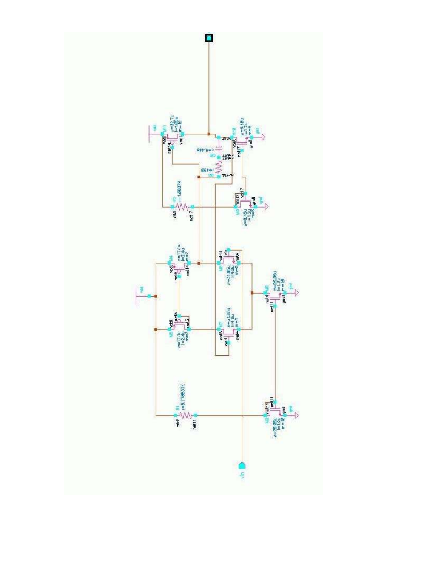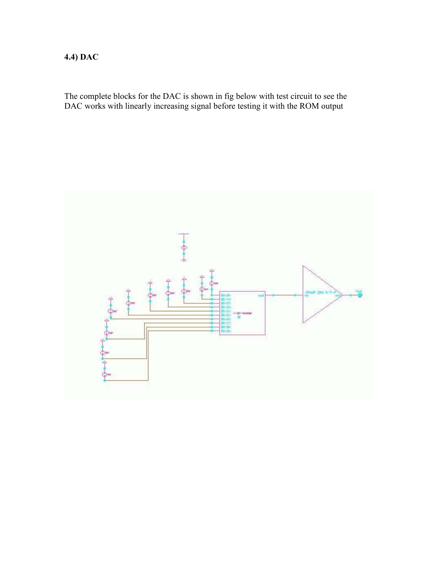### 4.4) DAC

The complete blocks for the DAC is shown in fig below with test circuit to see the DAC works with linearly increasing signal before testing it with the ROM output

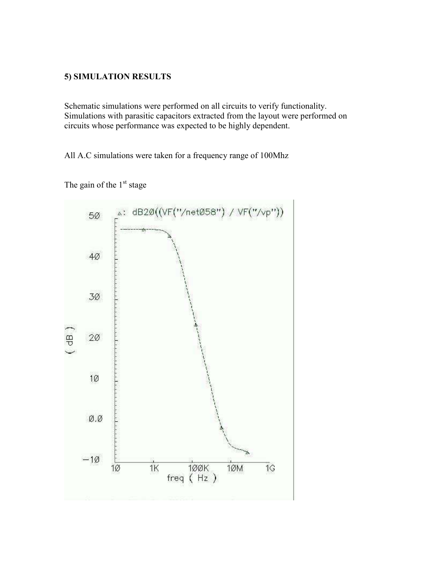### 5) SIMULATION RESULTS

Schematic simulations were performed on all circuits to verify functionality. Simulations with parasitic capacitors extracted from the layout were performed on circuits whose performance was expected to be highly dependent.

All A.C simulations were taken for a frequency range of 100Mhz

The gain of the  $1<sup>st</sup>$  stage

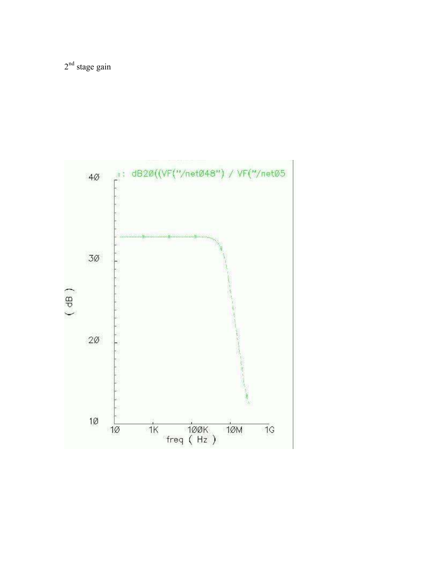![](_page_19_Figure_1.jpeg)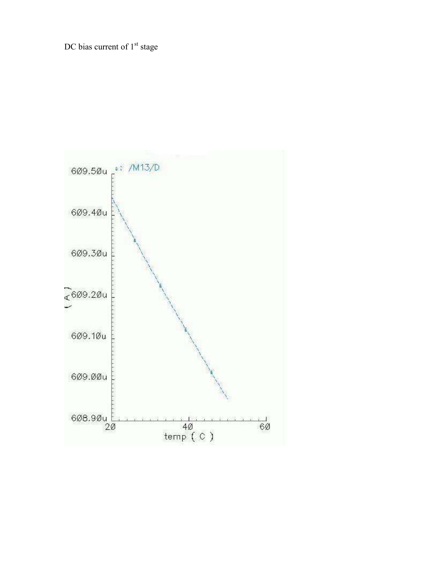![](_page_20_Figure_1.jpeg)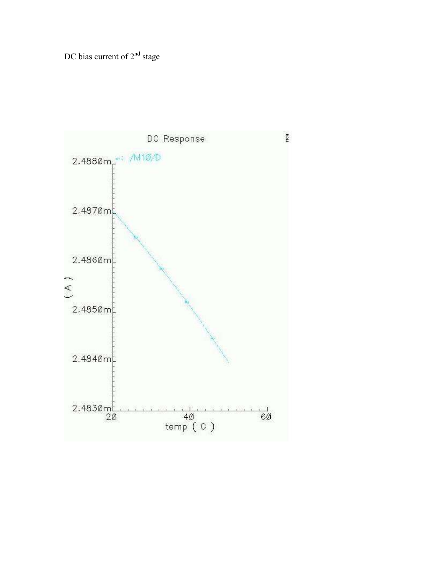DC bias current of 2<sup>nd</sup> stage

![](_page_21_Figure_1.jpeg)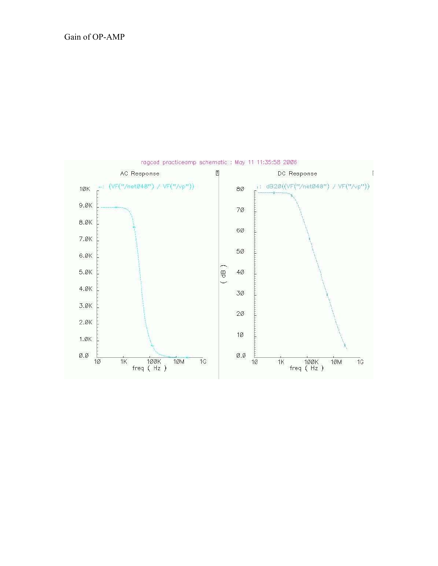![](_page_22_Figure_1.jpeg)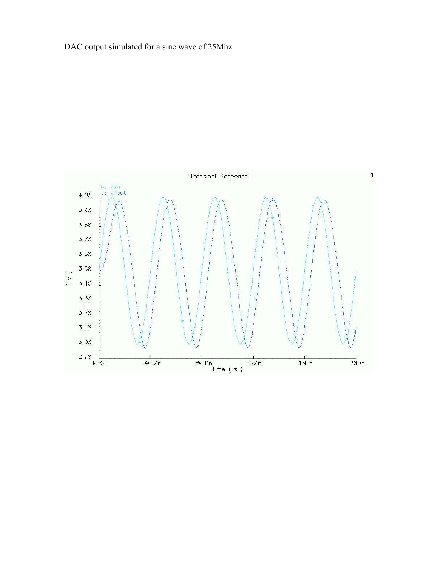![](_page_23_Figure_1.jpeg)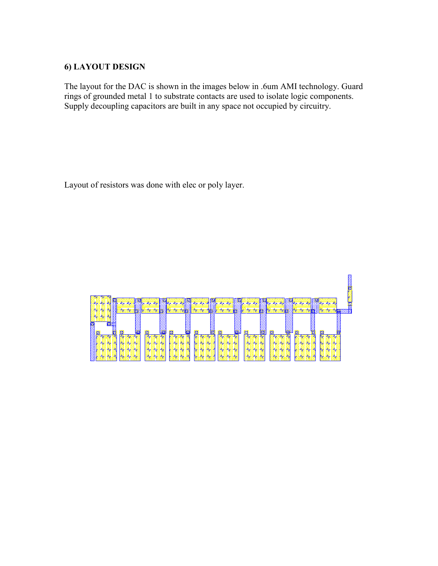### 6) LAYOUT DESIGN

The layout for the DAC is shown in the images below in .6um AMI technology. Guard rings of grounded metal 1 to substrate contacts are used to isolate logic components. Supply decoupling capacitors are built in any space not occupied by circuitry.

Layout of resistors was done with elec or poly layer.

![](_page_24_Figure_3.jpeg)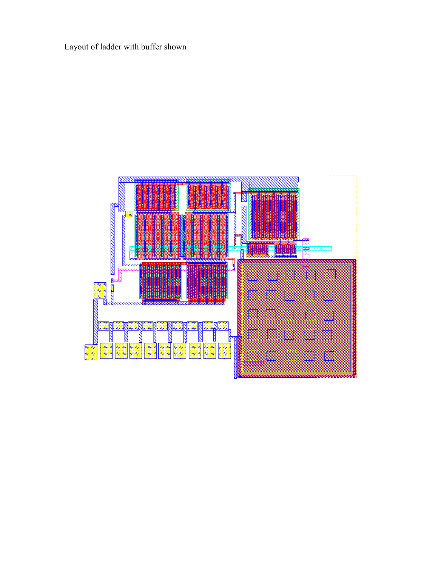Layout of ladder with buffer shown

![](_page_25_Figure_1.jpeg)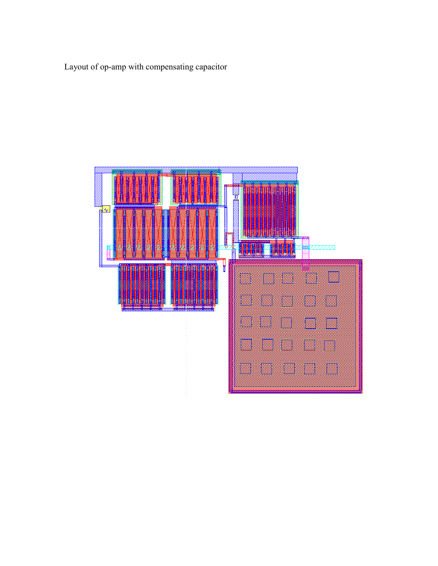Layout of op-amp with compensating capacitor

![](_page_26_Figure_1.jpeg)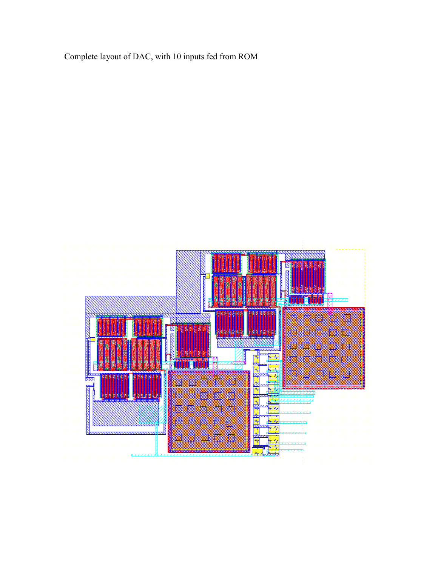### Complete layout of DAC, with 10 inputs fed from ROM

![](_page_27_Figure_1.jpeg)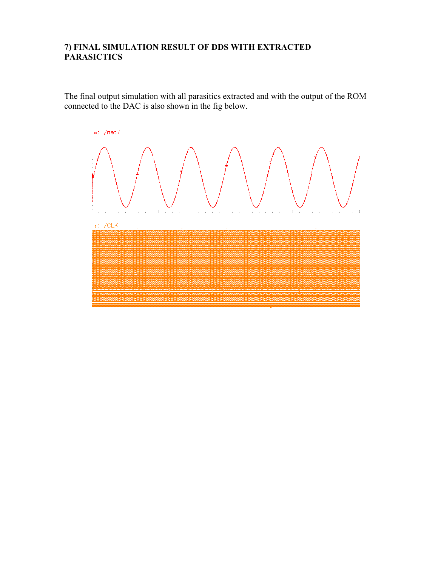### 7) FINAL SIMULATION RESULT OF DDS WITH EXTRACTED **PARASICTICS**

The final output simulation with all parasitics extracted and with the output of the ROM connected to the DAC is also shown in the fig below.

![](_page_28_Picture_2.jpeg)